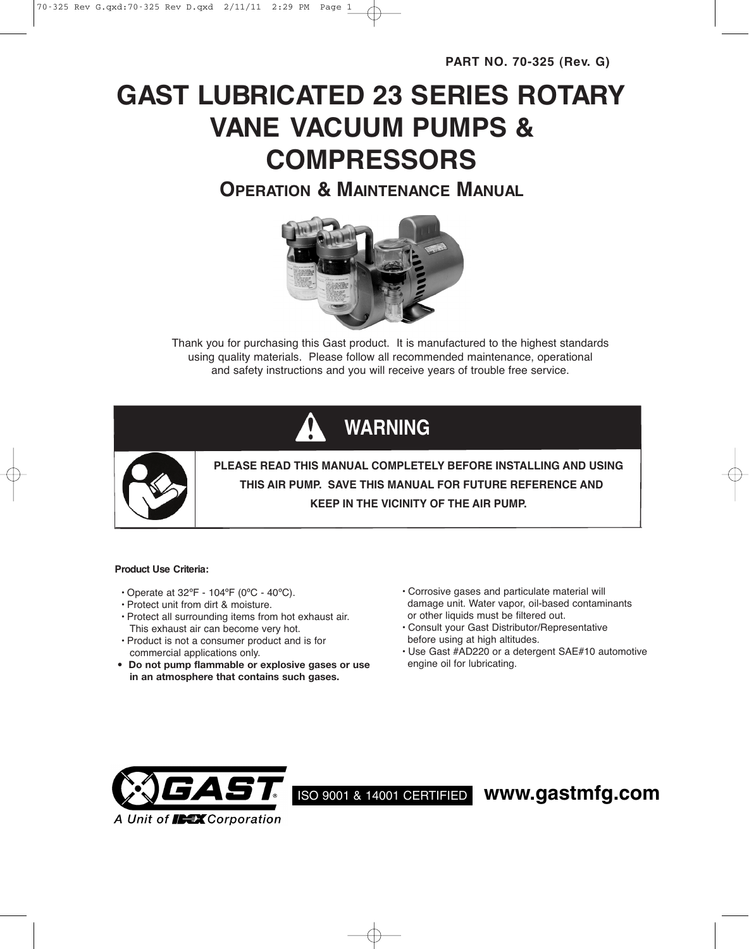**PART NO. 70-325 (Rev. G)**

# **GAST LUBRICATED 23 SERIES ROTARY VANE VACUUM PUMPS & COMPRESSORS**

**OPERATION & MAINTENANCE MANUAL**



Thank you for purchasing this Gast product. It is manufactured to the highest standards using quality materials. Please follow all recommended maintenance, operational and safety instructions and you will receive years of trouble free service.

## **WARNING**



**PLEASE READ THIS MANUAL COMPLETELY BEFORE INSTALLING AND USING THIS AIR PUMP. SAVE THIS MANUAL FOR FUTURE REFERENCE AND KEEP IN THE VICINITY OF THE AIR PUMP.**

## **Product Use Criteria:**

- Operate at  $32^{\circ}F 104^{\circ}F$  (0°C 40°C).
- Protect unit from dirt & moisture.
- Protect all surrounding items from hot exhaust air. This exhaust air can become very hot.
- Product is not a consumer product and is for commercial applications only.
- **• Do not pump flammable or explosive gases or use in an atmosphere that contains such gases.**
- Corrosive gases and particulate material will damage unit. Water vapor, oil-based contaminants or other liquids must be filtered out.
- Consult your Gast Distributor/Representative before using at high altitudes.
- Use Gast #AD220 or a detergent SAE#10 automotive engine oil for lubricating.



ISO 9001 & 14001 CERTIFIED **www.gastmfg.com**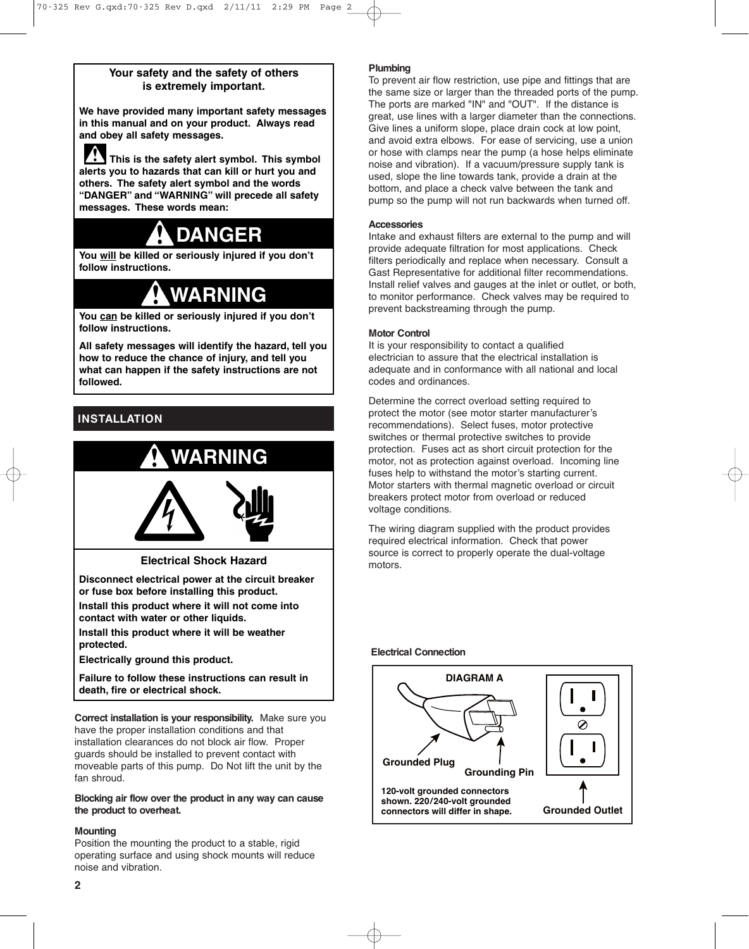## **Your safety and the safety of others is extremely important.**

**We have provided many important safety messages in this manual and on your product. Always read and obey all safety messages.**

**This is the safety alert symbol. This symbol alerts you to hazards that can kill or hurt you and others. The safety alert symbol and the words "DANGER" and "WARNING" will precede all safety messages. These words mean:**

## **DANGER**

**You will be killed or seriously injured if you don't follow instructions.**

## **WARNING**

**You can be killed or seriously injured if you don't follow instructions.**

**All safety messages will identify the hazard, tell you how to reduce the chance of injury, and tell you what can happen if the safety instructions are not followed.**

## **INSTALLATION**



**Electrical Shock Hazard**

**Disconnect electrical power at the circuit breaker or fuse box before installing this product. Install this product where it will not come into**

**contact with water or other liquids.**

**Install this product where it will be weather protected.**

**Electrically ground this product.**

**Failure to follow these instructions can result in death, fire or electrical shock.**

**Correct installation is your responsibility.** Make sure you have the proper installation conditions and that installation clearances do not block air flow. Proper guards should be installed to prevent contact with moveable parts of this pump. Do Not lift the unit by the fan shroud.

**Blocking air flow over the product in any way can cause the product to overheat.**

## **Mounting**

Position the mounting the product to a stable, rigid operating surface and using shock mounts will reduce noise and vibration.

## **Plumbing**

To prevent air flow restriction, use pipe and fittings that are the same size or larger than the threaded ports of the pump. The ports are marked "IN" and "OUT". If the distance is great, use lines with a larger diameter than the connections. Give lines a uniform slope, place drain cock at low point, and avoid extra elbows. For ease of servicing, use a union or hose with clamps near the pump (a hose helps eliminate noise and vibration). If a vacuum/pressure supply tank is used, slope the line towards tank, provide a drain at the bottom, and place a check valve between the tank and pump so the pump will not run backwards when turned off.

## **Accessories**

Intake and exhaust filters are external to the pump and will provide adequate filtration for most applications. Check filters periodically and replace when necessary. Consult a Gast Representative for additional filter recommendations. Install relief valves and gauges at the inlet or outlet, or both, to monitor performance. Check valves may be required to prevent backstreaming through the pump.

## **Motor Control**

It is your responsibility to contact a qualified electrician to assure that the electrical installation is adequate and in conformance with all national and local codes and ordinances.

Determine the correct overload setting required to protect the motor (see motor starter manufacturer's recommendations). Select fuses, motor protective switches or thermal protective switches to provide protection. Fuses act as short circuit protection for the motor, not as protection against overload. Incoming line fuses help to withstand the motor's starting current. Motor starters with thermal magnetic overload or circuit breakers protect motor from overload or reduced voltage conditions.

The wiring diagram supplied with the product provides required electrical information. Check that power source is correct to properly operate the dual-voltage motors.

## **Electrical Connection**

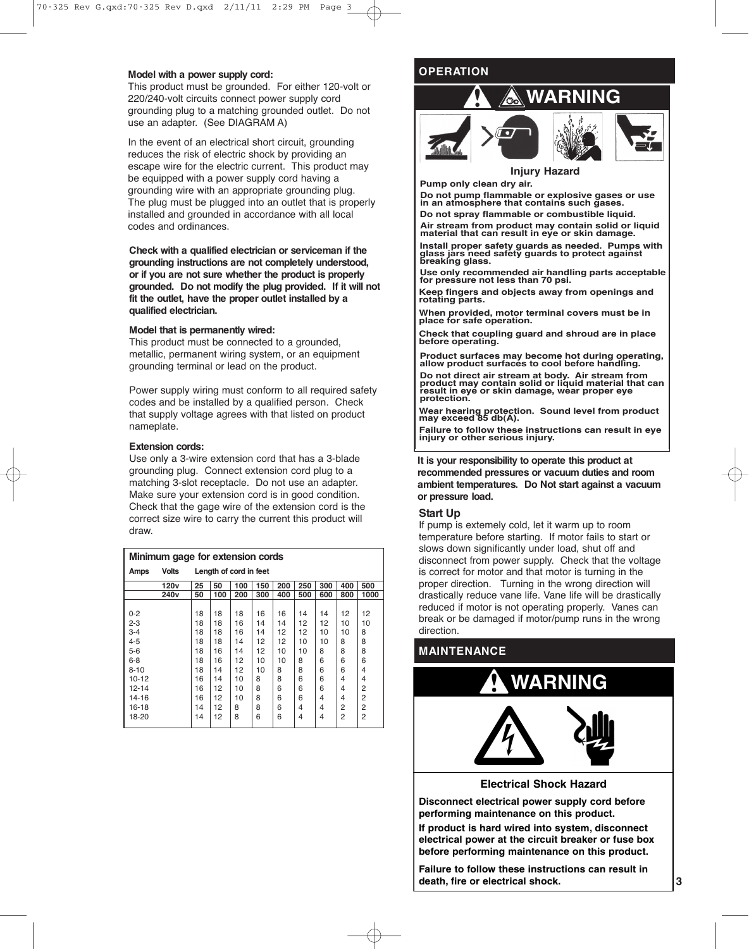#### **Model with a power supply cord:**

This product must be grounded. For either 120-volt or 220/240-volt circuits connect power supply cord grounding plug to a matching grounded outlet. Do not use an adapter. (See DIAGRAM A)

In the event of an electrical short circuit, grounding reduces the risk of electric shock by providing an escape wire for the electric current. This product may be equipped with a power supply cord having a grounding wire with an appropriate grounding plug. The plug must be plugged into an outlet that is properly installed and grounded in accordance with all local codes and ordinances.

**Check with a qualified electrician or serviceman if the grounding instructions are not completely understood, or if you are not sure whether the product is properly grounded. Do not modify the plug provided. If it will not fit the outlet, have the proper outlet installed by a qualified electrician.**

#### **Model that is permanently wired:**

This product must be connected to a grounded, metallic, permanent wiring system, or an equipment grounding terminal or lead on the product.

Power supply wiring must conform to all required safety codes and be installed by a qualified person. Check that supply voltage agrees with that listed on product nameplate.

### **Extension cords:**

Use only a 3-wire extension cord that has a 3-blade grounding plug. Connect extension cord plug to a matching 3-slot receptacle. Do not use an adapter. Make sure your extension cord is in good condition. Check that the gage wire of the extension cord is the correct size wire to carry the current this product will draw.

| Minimum gage for extension cords |                  |                        |     |     |     |     |                |     |     |                |
|----------------------------------|------------------|------------------------|-----|-----|-----|-----|----------------|-----|-----|----------------|
| Amps                             | <b>Volts</b>     | Length of cord in feet |     |     |     |     |                |     |     |                |
|                                  | 120 <sub>v</sub> | 25                     | 50  | 100 | 150 | 200 | 250            | 300 | 400 | 500            |
|                                  | 240v             | 50                     | 100 | 200 | 300 | 400 | 500            | 600 | 800 | 1000           |
|                                  |                  |                        |     |     |     |     |                |     |     |                |
| $0 - 2$                          |                  | 18                     | 18  | 18  | 16  | 16  | 14             | 14  | 12  | 12             |
| $2 - 3$                          |                  | 18                     | 18  | 16  | 14  | 14  | 12             | 12  | 10  | 10             |
| $3 - 4$                          |                  | 18                     | 18  | 16  | 14  | 12  | 12             | 10  | 10  | 8              |
| $4 - 5$                          |                  | 18                     | 18  | 14  | 12  | 12  | 10             | 10  | 8   | 8              |
| $5-6$                            |                  | 18                     | 16  | 14  | 12  | 10  | 10             | 8   | 8   | 8              |
| $6 - 8$                          |                  | 18                     | 16  | 12  | 10  | 10  | 8              | 6   | 6   | 6              |
| $8 - 10$                         |                  | 18                     | 14  | 12  | 10  | 8   | 8              | 6   | 6   | 4              |
| $10 - 12$                        |                  | 16                     | 14  | 10  | 8   | 8   | 6              | 6   | 4   | 4              |
| $12 - 14$                        |                  | 16                     | 12  | 10  | 8   | 6   | 6              | 6   | 4   | 2              |
| 14-16                            |                  | 16                     | 12  | 10  | 8   | 6   | 6              | 4   | 4   | 2              |
| 16-18                            |                  | 14                     | 12  | 8   | 8   | 6   | 4              | 4   | 2   | 2              |
| 18-20                            |                  | 14                     | 12  | 8   | 6   | 6   | $\overline{4}$ | 4   | 2   | $\overline{2}$ |

## **OPERATION**



## **Injury Hazard**

**Pump only clean dry air.**

**Do not pump flammable or explosive gases or use in an atmosphere that contains such gases. Do not spray flammable or combustible liquid.**

Air stream from product may contain solid or liquid<br>material that can result in eye or skin damage.

Install proper safety guards as needed. Pumps with<br>glass jars need safety guards to protect against<br>breaking glass.

**Use only recommended air handling parts acceptable for pressure not less than <sup>70</sup> psi.**

**Keep fingers and objects away from openings and rotating parts.**

**When provided, motor terminal covers must be in place for safe operation.**

**Check that coupling guard and shroud are in place before operating.**

**Product surfaces may become hot during operating, allow product surfaces to cool before handling.**

Do not direct air stream at body. Air stream from<br>product may contain solid or liquid material that can<br>result in eye or skin damage, wear proper eye<br>protection.

**Wear hearing protection. Sound level from product may exceed <sup>85</sup> db(A).**

**Failure to follow these instructions can result in eye injury or other serious injury.**

**It is your responsibility to operate this product at recommended pressures or vacuum duties and room ambient temperatures. Do Not start against a vacuum or pressure load.**

## **Start Up**

If pump is extemely cold, let it warm up to room temperature before starting. If motor fails to start or slows down significantly under load, shut off and disconnect from power supply. Check that the voltage is correct for motor and that motor is turning in the proper direction. Turning in the wrong direction will drastically reduce vane life. Vane life will be drastically reduced if motor is not operating properly. Vanes can break or be damaged if motor/pump runs in the wrong direction.

## **MAINTENANCE**



**Disconnect electrical power supply cord before performing maintenance on this product.**

**If product is hard wired into system, disconnect electrical power at the circuit breaker or fuse box before performing maintenance on this product.**

**Failure to follow these instructions can result in death, fire or electrical shock.**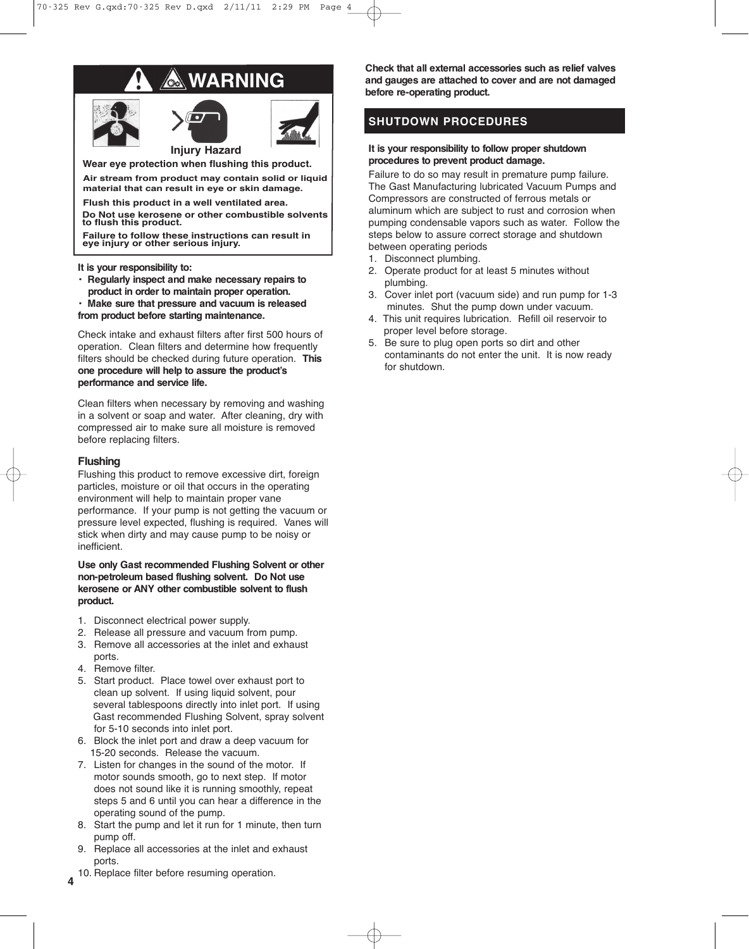## **WARNING Oct**







**Wear eye protection when flushing this product.**

**Air stream from product may contain solid or liquid material that can result in eye or skin damage.**

**Flush this product in a well ventilated area.**

**Do Not use kerosene or other combustible solvents to flush this product.**

**Failure to follow these instructions can result in eye injury or other serious injury.**

**It is your responsibility to:**

- **• Regularly inspect and make necessary repairs to product in order to maintain proper operation.**
- **• Make sure that pressure and vacuum is released**
- **from product before starting maintenance.**

Check intake and exhaust filters after first 500 hours of operation. Clean filters and determine how frequently filters should be checked during future operation. **This one procedure will help to assure the product's performance and service life.**

Clean filters when necessary by removing and washing in a solvent or soap and water. After cleaning, dry with compressed air to make sure all moisture is removed before replacing filters.

## **Flushing**

Flushing this product to remove excessive dirt, foreign particles, moisture or oil that occurs in the operating environment will help to maintain proper vane performance. If your pump is not getting the vacuum or pressure level expected, flushing is required. Vanes will stick when dirty and may cause pump to be noisy or inefficient.

**Use only Gast recommended Flushing Solvent or other non-petroleum based flushing solvent. Do Not use kerosene or ANY other combustible solvent to flush product.**

- 1. Disconnect electrical power supply.
- 2. Release all pressure and vacuum from pump.
- 3. Remove all accessories at the inlet and exhaust
- ports.
- 4. Remove filter.
- 5. Start product. Place towel over exhaust port to clean up solvent. If using liquid solvent, pour several tablespoons directly into inlet port. If using Gast recommended Flushing Solvent, spray solvent for 5-10 seconds into inlet port.
- 6. Block the inlet port and draw a deep vacuum for 15-20 seconds. Release the vacuum.
- 7. Listen for changes in the sound of the motor. If motor sounds smooth, go to next step. If motor does not sound like it is running smoothly, repeat steps 5 and 6 until you can hear a difference in the operating sound of the pump.
- 8. Start the pump and let it run for 1 minute, then turn pump off.
- 9. Replace all accessories at the inlet and exhaust ports.
- **4** 10. Replace filter before resuming operation.

**Check that all external accessories such as relief valves and gauges are attached to cover and are not damaged before re-operating product.**

## **SHUTDOWN PROCEDURES**

## **It is your responsibility to follow proper shutdown procedures to prevent product damage.**

Failure to do so may result in premature pump failure. The Gast Manufacturing lubricated Vacuum Pumps and Compressors are constructed of ferrous metals or aluminum which are subject to rust and corrosion when pumping condensable vapors such as water. Follow the steps below to assure correct storage and shutdown between operating periods

- 1. Disconnect plumbing.
- 2. Operate product for at least 5 minutes without plumbing.
- 3. Cover inlet port (vacuum side) and run pump for 1-3 minutes. Shut the pump down under vacuum.
- 4. This unit requires lubrication. Refill oil reservoir to proper level before storage.
- 5. Be sure to plug open ports so dirt and other contaminants do not enter the unit. It is now ready for shutdown.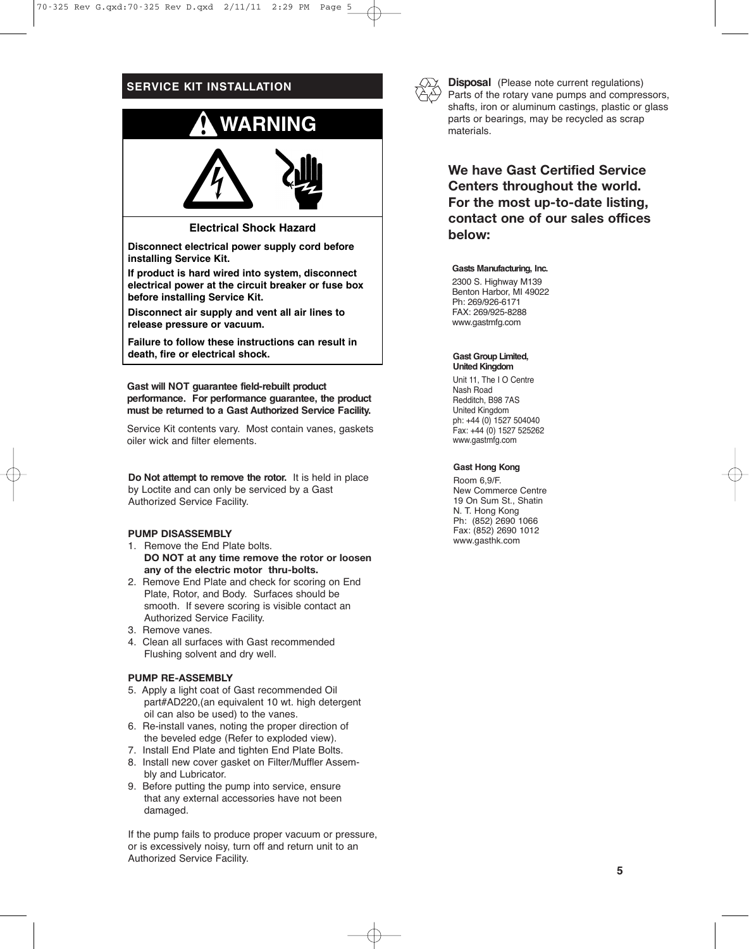## **SERVICE KIT INSTALLATION**



## **Electrical Shock Hazard**

**Disconnect electrical power supply cord before installing Service Kit.**

**If product is hard wired into system, disconnect electrical power at the circuit breaker or fuse box before installing Service Kit.**

**Disconnect air supply and vent all air lines to release pressure or vacuum.**

**Failure to follow these instructions can result in death, fire or electrical shock.**

**Gast will NOT guarantee field-rebuilt product performance. For performance guarantee, the product must be returned to a Gast Authorized Service Facility.**

Service Kit contents vary. Most contain vanes, gaskets oiler wick and filter elements.

**Do Not attempt to remove the rotor.** It is held in place by Loctite and can only be serviced by a Gast Authorized Service Facility.

## **PUMP DISASSEMBLY**

- 1. Remove the End Plate bolts. **DO NOT at any time remove the rotor or loosen any of the electric motor thru-bolts.**
- 2. Remove End Plate and check for scoring on End Plate, Rotor, and Body. Surfaces should be smooth. If severe scoring is visible contact an Authorized Service Facility.
- 3. Remove vanes.
- 4. Clean all surfaces with Gast recommended Flushing solvent and dry well.

## **PUMP RE-ASSEMBLY**

- 5. Apply a light coat of Gast recommended Oil part#AD220,(an equivalent 10 wt. high detergent oil can also be used) to the vanes.
- 6. Re-install vanes, noting the proper direction of the beveled edge (Refer to exploded view).
- 7. Install End Plate and tighten End Plate Bolts.
- 8. Install new cover gasket on Filter/Muffler Assembly and Lubricator.
- 9. Before putting the pump into service, ensure that any external accessories have not been damaged.

If the pump fails to produce proper vacuum or pressure, or is excessively noisy, turn off and return unit to an Authorized Service Facility.



**Disposal** (Please note current regulations) Parts of the rotary vane pumps and compressors, shafts, iron or aluminum castings, plastic or glass parts or bearings, may be recycled as scrap materials.

## **We have Gast Certified Service Centers throughout the world. For the most up-to-date listing, contact one of our sales offices below:**

#### **Gasts Manufacturing, Inc.**

2300 S. Highway M139 Benton Harbor, MI 49022 Ph: 269/926-6171 FAX: 269/925-8288 www.gastmfg.com

#### **Gast Group Limited, United Kingdom**

Unit 11, The I O Centre Nash Road Redditch, B98 7AS United Kingdom ph: +44 (0) 1527 504040 Fax: +44 (0) 1527 525262 www.gastmfg.com

### **Gast Hong Kong**

Room 6,9/F. New Commerce Centre 19 On Sum St., Shatin N. T. Hong Kong Ph: (852) 2690 1066 Fax: (852) 2690 1012 www.gasthk.com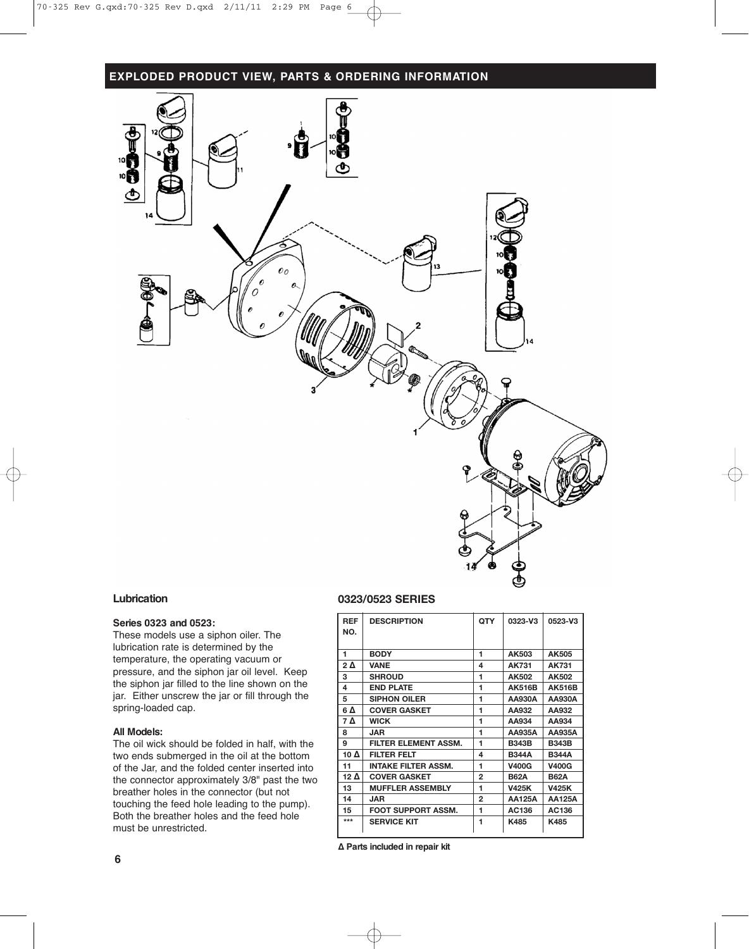## **EXPLODED PRODUCT VIEW, PARTS & ORDERING INFORMATION**



### **Lubrication**

## **Series 0323 and 0523:**

These models use a siphon oiler. The lubrication rate is determined by the temperature, the operating vacuum or pressure, and the siphon jar oil level. Keep the siphon jar filled to the line shown on the jar. Either unscrew the jar or fill through the spring-loaded cap.

## **All Models:**

The oil wick should be folded in half, with the two ends submerged in the oil at the bottom of the Jar, and the folded center inserted into the connector approximately 3/8" past the two breather holes in the connector (but not touching the feed hole leading to the pump). Both the breather holes and the feed hole must be unrestricted.

## **0323/0523 SERIES**

| <b>REF</b><br>NO. | <b>DESCRIPTION</b>          | <b>QTY</b>   | 0323-V3       | 0523-V3       |
|-------------------|-----------------------------|--------------|---------------|---------------|
| 1                 | <b>BODY</b>                 | 1            | AK503         | AK505         |
| 2Δ                | VANE                        | 4            | AK731         | AK731         |
| 3                 | <b>SHROUD</b>               | 1            | AK502         | AK502         |
| 4                 | <b>END PLATE</b>            | 1            | <b>AK516B</b> | <b>AK516B</b> |
| 5                 | <b>SIPHON OILER</b>         | 1            | AA930A        | AA930A        |
| 6 Δ               | <b>COVER GASKET</b>         | 1            | AA932         | AA932         |
| 7 Δ               | <b>WICK</b>                 | 1            | AA934         | AA934         |
| 8                 | <b>JAR</b>                  | 1            | AA935A        | AA935A        |
| 9                 | <b>FILTER ELEMENT ASSM.</b> | 1            | <b>B343B</b>  | <b>B343B</b>  |
| 10 Δ              | <b>FILTER FELT</b>          | 4            | <b>B344A</b>  | <b>B344A</b>  |
| 11                | <b>INTAKE FILTER ASSM.</b>  | 1            | <b>V400G</b>  | <b>V400G</b>  |
| 12 $\Delta$       | <b>COVER GASKET</b>         | 2            | <b>B62A</b>   | <b>B62A</b>   |
| 13                | <b>MUFFLER ASSEMBLY</b>     | 1            | <b>V425K</b>  | <b>V425K</b>  |
| 14                | JAR                         | $\mathbf{2}$ | <b>AA125A</b> | AA125A        |
| 15                | <b>FOOT SUPPORT ASSM.</b>   | 1            | AC136         | AC136         |
| $***$             | <b>SERVICE KIT</b>          | 1            | K485          | K485          |

**∆ Parts included in repair kit**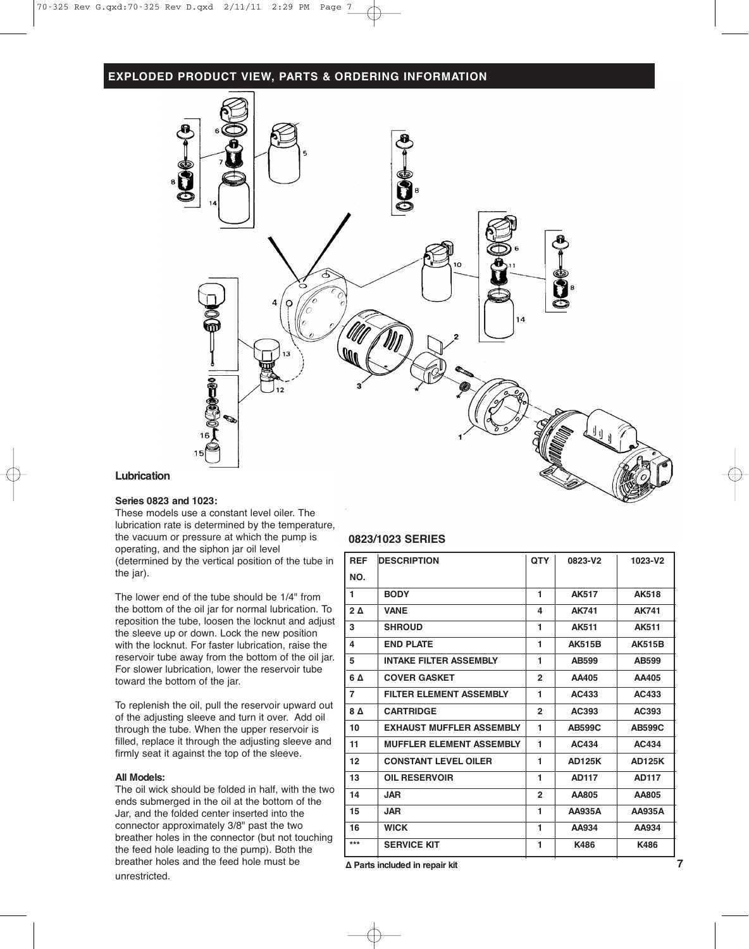## **EXPLODED PRODUCT VIEW, PARTS & ORDERING INFORMATION**



## **Lubrication**

## **Series 0823 and 1023:**

These models use a constant level oiler. The lubrication rate is determined by the temperature, the vacuum or pressure at which the pump is operating, and the siphon jar oil level (determined by the vertical position of the tube in the jar).

The lower end of the tube should be 1/4" from the bottom of the oil jar for normal lubrication. To reposition the tube, loosen the locknut and adjust the sleeve up or down. Lock the new position with the locknut. For faster lubrication, raise the reservoir tube away from the bottom of the oil jar. For slower lubrication, lower the reservoir tube toward the bottom of the jar.

To replenish the oil, pull the reservoir upward out of the adjusting sleeve and turn it over. Add oil through the tube. When the upper reservoir is filled, replace it through the adjusting sleeve and firmly seat it against the top of the sleeve.

#### **All Models:**

The oil wick should be folded in half, with the two ends submerged in the oil at the bottom of the Jar, and the folded center inserted into the connector approximately 3/8" past the two breather holes in the connector (but not touching the feed hole leading to the pump). Both the breather holes and the feed hole must be unrestricted.

## **0823/1023 SERIES**

| <b>REF</b> | <b>DESCRIPTION</b>              | <b>QTY</b>   | 0823-V2       | 1023-V2       |
|------------|---------------------------------|--------------|---------------|---------------|
| NO.        |                                 |              |               |               |
| 1          | <b>BODY</b>                     | 1            | <b>AK517</b>  | <b>AK518</b>  |
| $2\Delta$  | <b>VANE</b>                     | 4            | <b>AK741</b>  | <b>AK741</b>  |
| 3          | <b>SHROUD</b>                   | 1            | <b>AK511</b>  | <b>AK511</b>  |
| 4          | <b>END PLATE</b>                | 1            | <b>AK515B</b> | <b>AK515B</b> |
| 5          | <b>INTAKE FILTER ASSEMBLY</b>   | 1            | AB599         | AB599         |
| 6 A        | <b>COVER GASKET</b>             | $\mathbf{2}$ | AA405         | AA405         |
| 7          | <b>FILTER ELEMENT ASSEMBLY</b>  | 1            | AC433         | AC433         |
| 8Δ         | <b>CARTRIDGE</b>                | $\mathbf{2}$ | AC393         | AC393         |
| 10         | <b>EXHAUST MUFFLER ASSEMBLY</b> | 1            | <b>AB599C</b> | <b>AB599C</b> |
| 11         | <b>MUFFLER ELEMENT ASSEMBLY</b> | 1            | <b>AC434</b>  | AC434         |
| 12         | <b>CONSTANT LEVEL OILER</b>     | 1            | <b>AD125K</b> | <b>AD125K</b> |
| 13         | <b>OIL RESERVOIR</b>            | 1            | <b>AD117</b>  | <b>AD117</b>  |
| 14         | <b>JAR</b>                      | $\mathbf{2}$ | AA805         | AA805         |
| 15         | <b>JAR</b>                      | 1            | AA935A        | <b>AA935A</b> |
| 16         | <b>WICK</b>                     | 1            | AA934         | AA934         |
| ***        | <b>SERVICE KIT</b>              | 1            | K486          | K486          |

**∆ Parts included in repair kit 7**